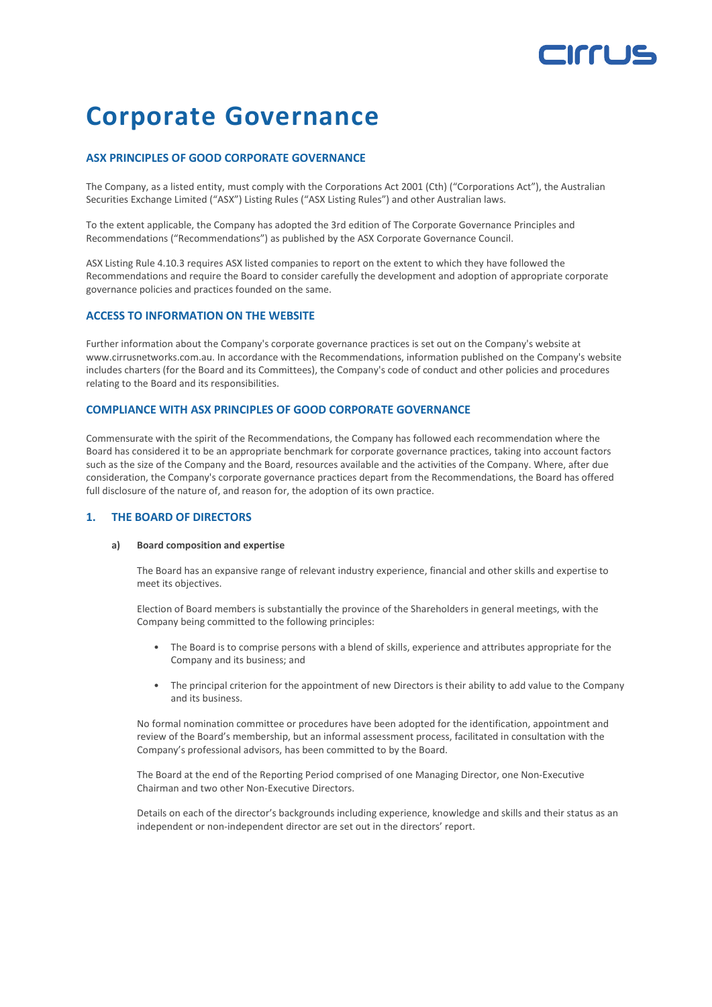# **Irrus**

## **Corporate Governance**

## **ASX PRINCIPLES OF GOOD CORPORATE GOVERNANCE**

The Company, as a listed entity, must comply with the Corporations Act 2001 (Cth) ("Corporations Act"), the Australian Securities Exchange Limited ("ASX") Listing Rules ("ASX Listing Rules") and other Australian laws.

To the extent applicable, the Company has adopted the 3rd edition of The Corporate Governance Principles and Recommendations ("Recommendations") as published by the ASX Corporate Governance Council.

ASX Listing Rule 4.10.3 requires ASX listed companies to report on the extent to which they have followed the Recommendations and require the Board to consider carefully the development and adoption of appropriate corporate governance policies and practices founded on the same.

### **ACCESS TO INFORMATION ON THE WEBSITE**

Further information about the Company's corporate governance practices is set out on the Company's website at www.cirrusnetworks.com.au. In accordance with the Recommendations, information published on the Company's website includes charters (for the Board and its Committees), the Company's code of conduct and other policies and procedures relating to the Board and its responsibilities.

### **COMPLIANCE WITH ASX PRINCIPLES OF GOOD CORPORATE GOVERNANCE**

Commensurate with the spirit of the Recommendations, the Company has followed each recommendation where the Board has considered it to be an appropriate benchmark for corporate governance practices, taking into account factors such as the size of the Company and the Board, resources available and the activities of the Company. Where, after due consideration, the Company's corporate governance practices depart from the Recommendations, the Board has offered full disclosure of the nature of, and reason for, the adoption of its own practice.

### **1. THE BOARD OF DIRECTORS**

#### **a) Board composition and expertise**

The Board has an expansive range of relevant industry experience, financial and other skills and expertise to meet its objectives.

Election of Board members is substantially the province of the Shareholders in general meetings, with the Company being committed to the following principles:

- The Board is to comprise persons with a blend of skills, experience and attributes appropriate for the Company and its business; and
- The principal criterion for the appointment of new Directors is their ability to add value to the Company and its business.

No formal nomination committee or procedures have been adopted for the identification, appointment and review of the Board's membership, but an informal assessment process, facilitated in consultation with the Company's professional advisors, has been committed to by the Board.

The Board at the end of the Reporting Period comprised of one Managing Director, one Non-Executive Chairman and two other Non-Executive Directors.

Details on each of the director's backgrounds including experience, knowledge and skills and their status as an independent or non-independent director are set out in the directors' report.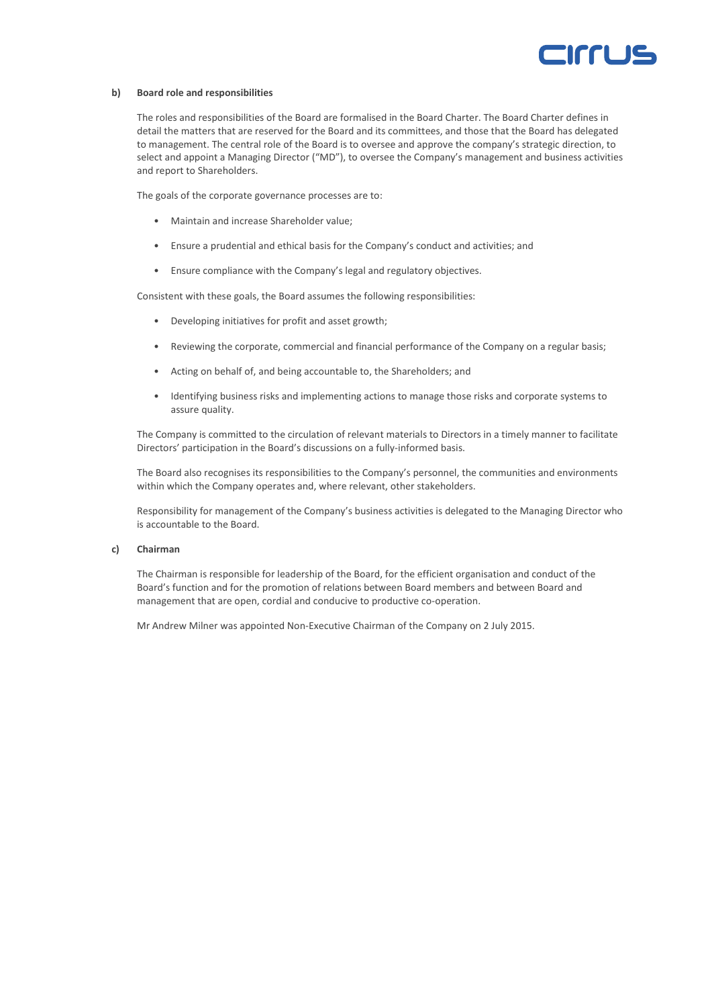

#### **b) Board role and responsibilities**

The roles and responsibilities of the Board are formalised in the Board Charter. The Board Charter defines in detail the matters that are reserved for the Board and its committees, and those that the Board has delegated to management. The central role of the Board is to oversee and approve the company's strategic direction, to select and appoint a Managing Director ("MD"), to oversee the Company's management and business activities and report to Shareholders.

The goals of the corporate governance processes are to:

- Maintain and increase Shareholder value;
- Ensure a prudential and ethical basis for the Company's conduct and activities; and
- Ensure compliance with the Company's legal and regulatory objectives.

Consistent with these goals, the Board assumes the following responsibilities:

- Developing initiatives for profit and asset growth;
- Reviewing the corporate, commercial and financial performance of the Company on a regular basis;
- Acting on behalf of, and being accountable to, the Shareholders; and
- Identifying business risks and implementing actions to manage those risks and corporate systems to assure quality.

The Company is committed to the circulation of relevant materials to Directors in a timely manner to facilitate Directors' participation in the Board's discussions on a fully-informed basis.

The Board also recognises its responsibilities to the Company's personnel, the communities and environments within which the Company operates and, where relevant, other stakeholders.

Responsibility for management of the Company's business activities is delegated to the Managing Director who is accountable to the Board.

#### **c) Chairman**

The Chairman is responsible for leadership of the Board, for the efficient organisation and conduct of the Board's function and for the promotion of relations between Board members and between Board and management that are open, cordial and conducive to productive co-operation.

Mr Andrew Milner was appointed Non-Executive Chairman of the Company on 2 July 2015.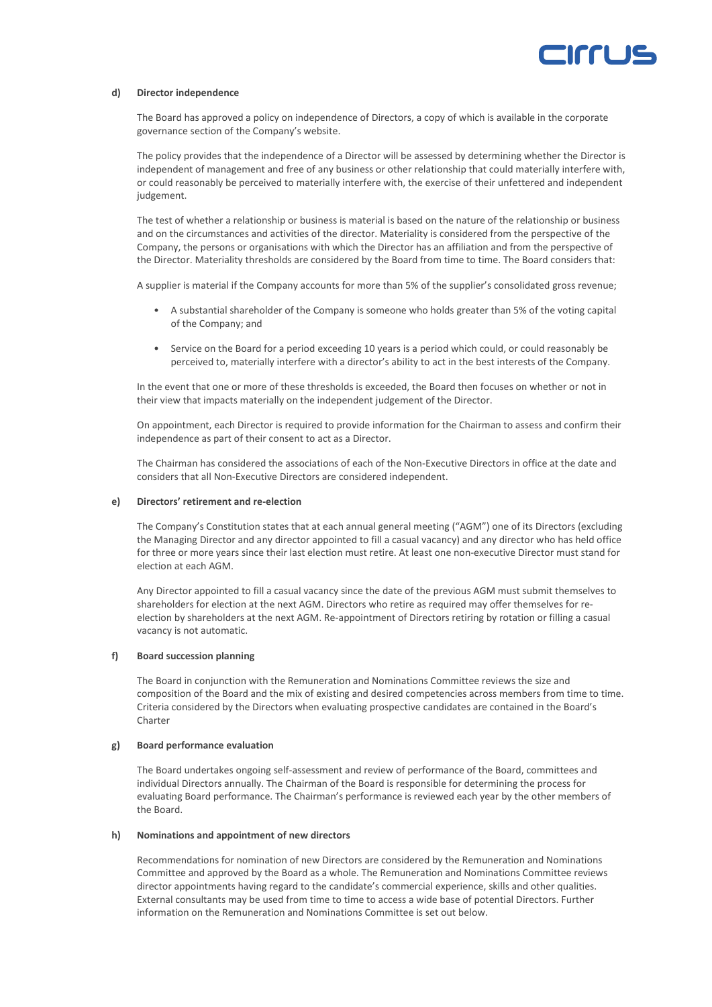

#### **d) Director independence**

The Board has approved a policy on independence of Directors, a copy of which is available in the corporate governance section of the Company's website.

The policy provides that the independence of a Director will be assessed by determining whether the Director is independent of management and free of any business or other relationship that could materially interfere with, or could reasonably be perceived to materially interfere with, the exercise of their unfettered and independent judgement.

The test of whether a relationship or business is material is based on the nature of the relationship or business and on the circumstances and activities of the director. Materiality is considered from the perspective of the Company, the persons or organisations with which the Director has an affiliation and from the perspective of the Director. Materiality thresholds are considered by the Board from time to time. The Board considers that:

A supplier is material if the Company accounts for more than 5% of the supplier's consolidated gross revenue;

- A substantial shareholder of the Company is someone who holds greater than 5% of the voting capital of the Company; and
- Service on the Board for a period exceeding 10 years is a period which could, or could reasonably be perceived to, materially interfere with a director's ability to act in the best interests of the Company.

In the event that one or more of these thresholds is exceeded, the Board then focuses on whether or not in their view that impacts materially on the independent judgement of the Director.

On appointment, each Director is required to provide information for the Chairman to assess and confirm their independence as part of their consent to act as a Director.

The Chairman has considered the associations of each of the Non-Executive Directors in office at the date and considers that all Non-Executive Directors are considered independent.

#### **e) Directors' retirement and re‐election**

The Company's Constitution states that at each annual general meeting ("AGM") one of its Directors (excluding the Managing Director and any director appointed to fill a casual vacancy) and any director who has held office for three or more years since their last election must retire. At least one non-executive Director must stand for election at each AGM.

Any Director appointed to fill a casual vacancy since the date of the previous AGM must submit themselves to shareholders for election at the next AGM. Directors who retire as required may offer themselves for reelection by shareholders at the next AGM. Re-appointment of Directors retiring by rotation or filling a casual vacancy is not automatic.

#### **f) Board succession planning**

The Board in conjunction with the Remuneration and Nominations Committee reviews the size and composition of the Board and the mix of existing and desired competencies across members from time to time. Criteria considered by the Directors when evaluating prospective candidates are contained in the Board's **Charter** 

#### **g) Board performance evaluation**

The Board undertakes ongoing self-assessment and review of performance of the Board, committees and individual Directors annually. The Chairman of the Board is responsible for determining the process for evaluating Board performance. The Chairman's performance is reviewed each year by the other members of the Board.

#### **h) Nominations and appointment of new directors**

Recommendations for nomination of new Directors are considered by the Remuneration and Nominations Committee and approved by the Board as a whole. The Remuneration and Nominations Committee reviews director appointments having regard to the candidate's commercial experience, skills and other qualities. External consultants may be used from time to time to access a wide base of potential Directors. Further information on the Remuneration and Nominations Committee is set out below.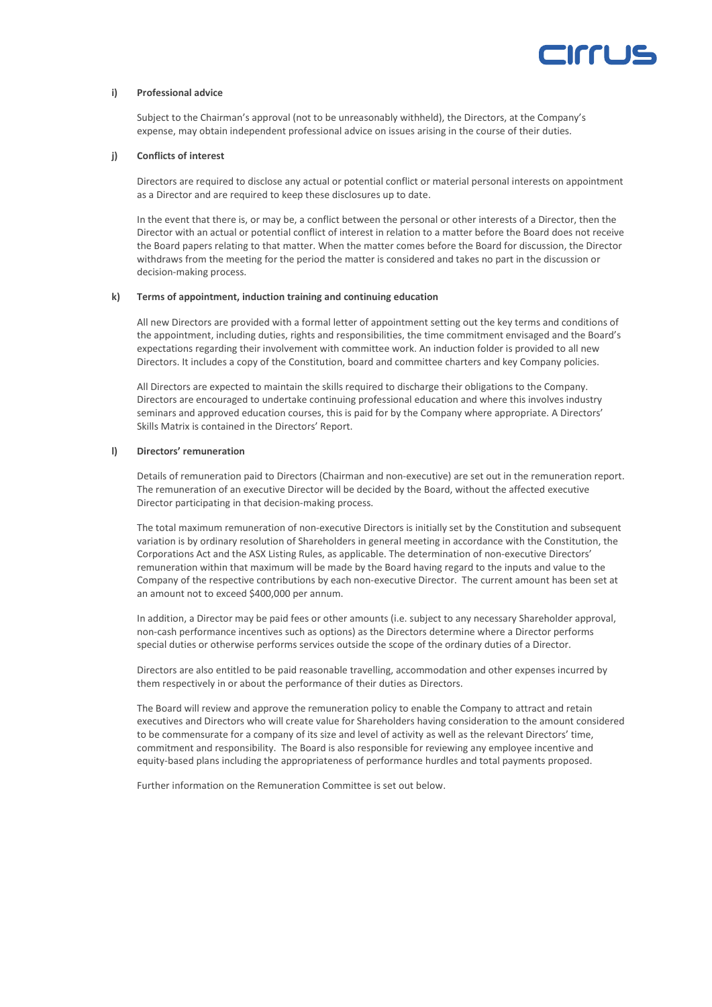

#### **i) Professional advice**

Subject to the Chairman's approval (not to be unreasonably withheld), the Directors, at the Company's expense, may obtain independent professional advice on issues arising in the course of their duties.

#### **j) Conflicts of interest**

Directors are required to disclose any actual or potential conflict or material personal interests on appointment as a Director and are required to keep these disclosures up to date.

In the event that there is, or may be, a conflict between the personal or other interests of a Director, then the Director with an actual or potential conflict of interest in relation to a matter before the Board does not receive the Board papers relating to that matter. When the matter comes before the Board for discussion, the Director withdraws from the meeting for the period the matter is considered and takes no part in the discussion or decision-making process.

#### **k) Terms of appointment, induction training and continuing education**

All new Directors are provided with a formal letter of appointment setting out the key terms and conditions of the appointment, including duties, rights and responsibilities, the time commitment envisaged and the Board's expectations regarding their involvement with committee work. An induction folder is provided to all new Directors. It includes a copy of the Constitution, board and committee charters and key Company policies.

All Directors are expected to maintain the skills required to discharge their obligations to the Company. Directors are encouraged to undertake continuing professional education and where this involves industry seminars and approved education courses, this is paid for by the Company where appropriate. A Directors' Skills Matrix is contained in the Directors' Report.

#### **l) Directors' remuneration**

Details of remuneration paid to Directors (Chairman and non-executive) are set out in the remuneration report. The remuneration of an executive Director will be decided by the Board, without the affected executive Director participating in that decision-making process.

The total maximum remuneration of non-executive Directors is initially set by the Constitution and subsequent variation is by ordinary resolution of Shareholders in general meeting in accordance with the Constitution, the Corporations Act and the ASX Listing Rules, as applicable. The determination of non-executive Directors' remuneration within that maximum will be made by the Board having regard to the inputs and value to the Company of the respective contributions by each non-executive Director. The current amount has been set at an amount not to exceed \$400,000 per annum.

In addition, a Director may be paid fees or other amounts (i.e. subject to any necessary Shareholder approval, non-cash performance incentives such as options) as the Directors determine where a Director performs special duties or otherwise performs services outside the scope of the ordinary duties of a Director.

Directors are also entitled to be paid reasonable travelling, accommodation and other expenses incurred by them respectively in or about the performance of their duties as Directors.

The Board will review and approve the remuneration policy to enable the Company to attract and retain executives and Directors who will create value for Shareholders having consideration to the amount considered to be commensurate for a company of its size and level of activity as well as the relevant Directors' time, commitment and responsibility. The Board is also responsible for reviewing any employee incentive and equity-based plans including the appropriateness of performance hurdles and total payments proposed.

Further information on the Remuneration Committee is set out below.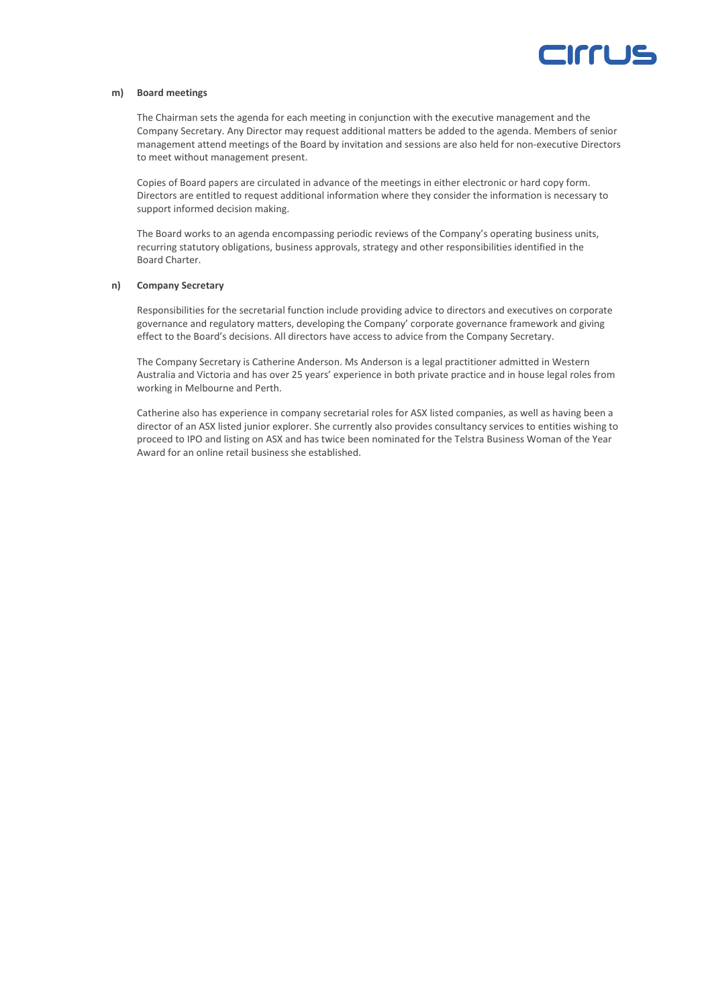

#### **m) Board meetings**

The Chairman sets the agenda for each meeting in conjunction with the executive management and the Company Secretary. Any Director may request additional matters be added to the agenda. Members of senior management attend meetings of the Board by invitation and sessions are also held for non-executive Directors to meet without management present.

Copies of Board papers are circulated in advance of the meetings in either electronic or hard copy form. Directors are entitled to request additional information where they consider the information is necessary to support informed decision making.

The Board works to an agenda encompassing periodic reviews of the Company's operating business units, recurring statutory obligations, business approvals, strategy and other responsibilities identified in the Board Charter.

#### **n) Company Secretary**

Responsibilities for the secretarial function include providing advice to directors and executives on corporate governance and regulatory matters, developing the Company' corporate governance framework and giving effect to the Board's decisions. All directors have access to advice from the Company Secretary.

The Company Secretary is Catherine Anderson. Ms Anderson is a legal practitioner admitted in Western Australia and Victoria and has over 25 years' experience in both private practice and in house legal roles from working in Melbourne and Perth.

Catherine also has experience in company secretarial roles for ASX listed companies, as well as having been a director of an ASX listed junior explorer. She currently also provides consultancy services to entities wishing to proceed to IPO and listing on ASX and has twice been nominated for the Telstra Business Woman of the Year Award for an online retail business she established.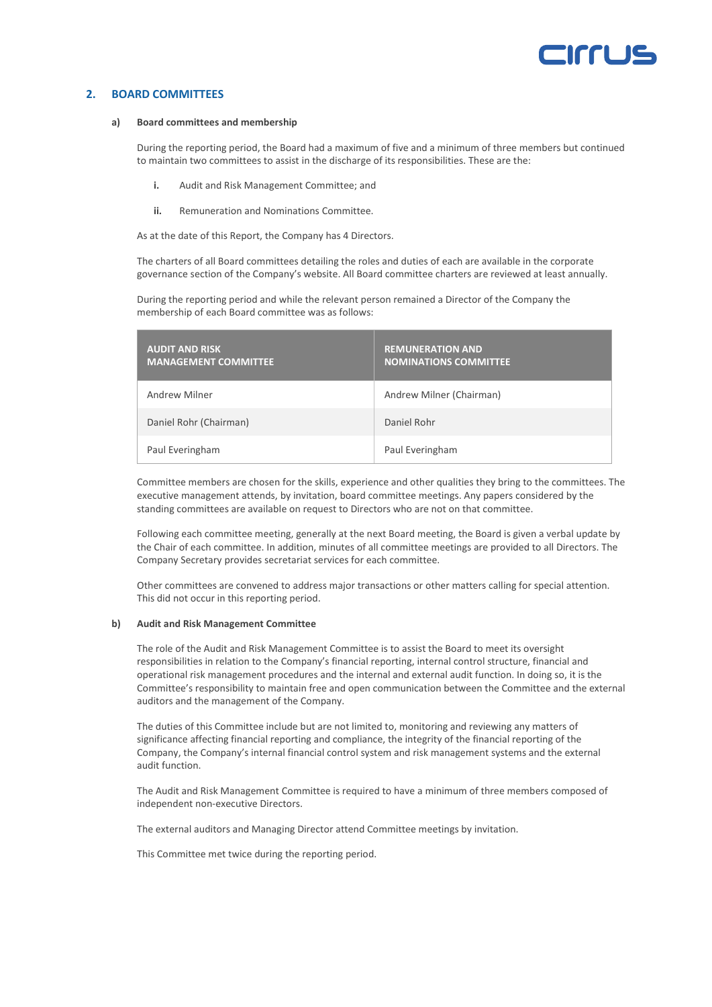## **ICCIL**

### **2. BOARD COMMITTEES**

#### **a) Board committees and membership**

During the reporting period, the Board had a maximum of five and a minimum of three members but continued to maintain two committees to assist in the discharge of its responsibilities. These are the:

- **i.** Audit and Risk Management Committee; and
- **ii.** Remuneration and Nominations Committee.

As at the date of this Report, the Company has 4 Directors.

The charters of all Board committees detailing the roles and duties of each are available in the corporate governance section of the Company's website. All Board committee charters are reviewed at least annually.

During the reporting period and while the relevant person remained a Director of the Company the membership of each Board committee was as follows:

| <b>AUDIT AND RISK</b><br><b>MANAGEMENT COMMITTEE</b> | <b>REMUNERATION AND</b><br><b>NOMINATIONS COMMITTEE</b> |
|------------------------------------------------------|---------------------------------------------------------|
| Andrew Milner                                        | Andrew Milner (Chairman)                                |
| Daniel Rohr (Chairman)                               | Daniel Rohr                                             |
| Paul Everingham                                      | Paul Everingham                                         |

Committee members are chosen for the skills, experience and other qualities they bring to the committees. The executive management attends, by invitation, board committee meetings. Any papers considered by the standing committees are available on request to Directors who are not on that committee.

Following each committee meeting, generally at the next Board meeting, the Board is given a verbal update by the Chair of each committee. In addition, minutes of all committee meetings are provided to all Directors. The Company Secretary provides secretariat services for each committee.

Other committees are convened to address major transactions or other matters calling for special attention. This did not occur in this reporting period.

#### **b) Audit and Risk Management Committee**

The role of the Audit and Risk Management Committee is to assist the Board to meet its oversight responsibilities in relation to the Company's financial reporting, internal control structure, financial and operational risk management procedures and the internal and external audit function. In doing so, it is the Committee's responsibility to maintain free and open communication between the Committee and the external auditors and the management of the Company.

The duties of this Committee include but are not limited to, monitoring and reviewing any matters of significance affecting financial reporting and compliance, the integrity of the financial reporting of the Company, the Company's internal financial control system and risk management systems and the external audit function.

The Audit and Risk Management Committee is required to have a minimum of three members composed of independent non-executive Directors.

The external auditors and Managing Director attend Committee meetings by invitation.

This Committee met twice during the reporting period.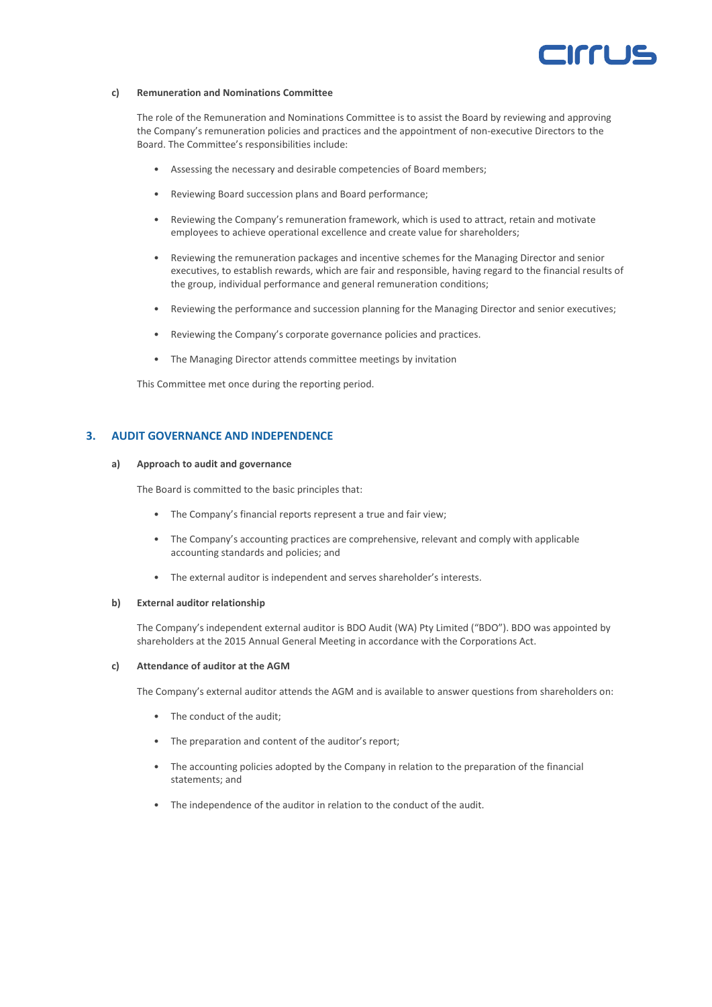## Irri 12

#### **c) Remuneration and Nominations Committee**

The role of the Remuneration and Nominations Committee is to assist the Board by reviewing and approving the Company's remuneration policies and practices and the appointment of non-executive Directors to the Board. The Committee's responsibilities include:

- Assessing the necessary and desirable competencies of Board members;
- Reviewing Board succession plans and Board performance;
- Reviewing the Company's remuneration framework, which is used to attract, retain and motivate employees to achieve operational excellence and create value for shareholders;
- Reviewing the remuneration packages and incentive schemes for the Managing Director and senior executives, to establish rewards, which are fair and responsible, having regard to the financial results of the group, individual performance and general remuneration conditions;
- Reviewing the performance and succession planning for the Managing Director and senior executives;
- Reviewing the Company's corporate governance policies and practices.
- The Managing Director attends committee meetings by invitation

This Committee met once during the reporting period.

#### **3. AUDIT GOVERNANCE AND INDEPENDENCE**

#### **a) Approach to audit and governance**

The Board is committed to the basic principles that:

- The Company's financial reports represent a true and fair view;
- The Company's accounting practices are comprehensive, relevant and comply with applicable accounting standards and policies; and
- The external auditor is independent and serves shareholder's interests.

#### **b) External auditor relationship**

The Company's independent external auditor is BDO Audit (WA) Pty Limited ("BDO"). BDO was appointed by shareholders at the 2015 Annual General Meeting in accordance with the Corporations Act.

#### **c) Attendance of auditor at the AGM**

The Company's external auditor attends the AGM and is available to answer questions from shareholders on:

- The conduct of the audit;
- The preparation and content of the auditor's report;
- The accounting policies adopted by the Company in relation to the preparation of the financial statements; and
- The independence of the auditor in relation to the conduct of the audit.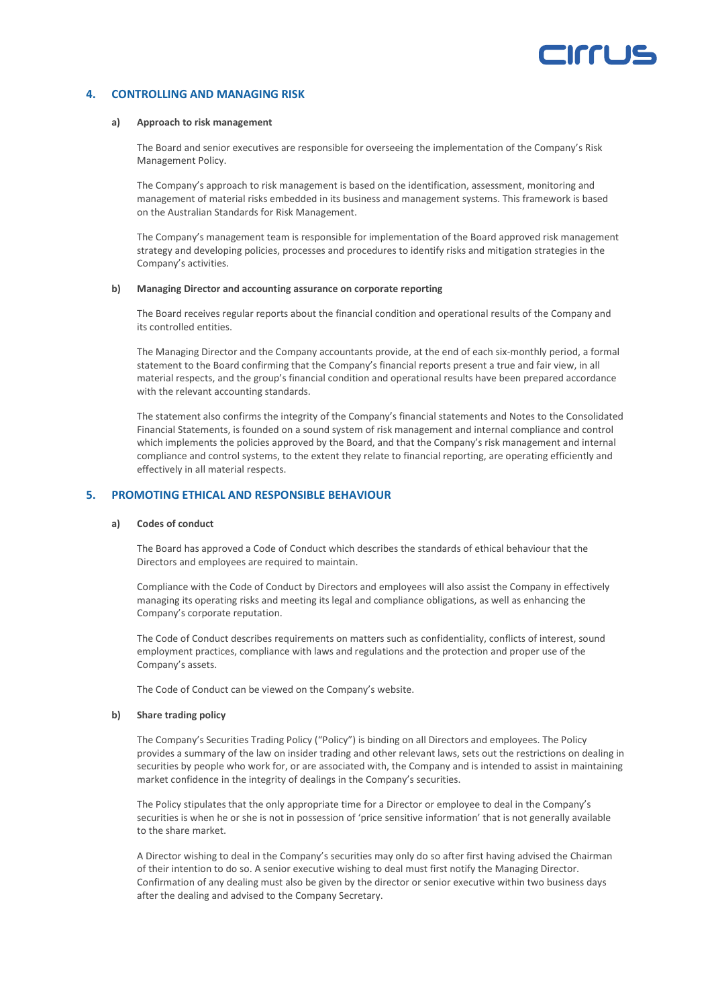## Irrl

### **4. CONTROLLING AND MANAGING RISK**

#### **a) Approach to risk management**

The Board and senior executives are responsible for overseeing the implementation of the Company's Risk Management Policy.

The Company's approach to risk management is based on the identification, assessment, monitoring and management of material risks embedded in its business and management systems. This framework is based on the Australian Standards for Risk Management.

The Company's management team is responsible for implementation of the Board approved risk management strategy and developing policies, processes and procedures to identify risks and mitigation strategies in the Company's activities.

#### **b) Managing Director and accounting assurance on corporate reporting**

The Board receives regular reports about the financial condition and operational results of the Company and its controlled entities.

The Managing Director and the Company accountants provide, at the end of each six-monthly period, a formal statement to the Board confirming that the Company's financial reports present a true and fair view, in all material respects, and the group's financial condition and operational results have been prepared accordance with the relevant accounting standards.

The statement also confirms the integrity of the Company's financial statements and Notes to the Consolidated Financial Statements, is founded on a sound system of risk management and internal compliance and control which implements the policies approved by the Board, and that the Company's risk management and internal compliance and control systems, to the extent they relate to financial reporting, are operating efficiently and effectively in all material respects.

### **5. PROMOTING ETHICAL AND RESPONSIBLE BEHAVIOUR**

#### **a) Codes of conduct**

The Board has approved a Code of Conduct which describes the standards of ethical behaviour that the Directors and employees are required to maintain.

Compliance with the Code of Conduct by Directors and employees will also assist the Company in effectively managing its operating risks and meeting its legal and compliance obligations, as well as enhancing the Company's corporate reputation.

The Code of Conduct describes requirements on matters such as confidentiality, conflicts of interest, sound employment practices, compliance with laws and regulations and the protection and proper use of the Company's assets.

The Code of Conduct can be viewed on the Company's website.

#### **b) Share trading policy**

The Company's Securities Trading Policy ("Policy") is binding on all Directors and employees. The Policy provides a summary of the law on insider trading and other relevant laws, sets out the restrictions on dealing in securities by people who work for, or are associated with, the Company and is intended to assist in maintaining market confidence in the integrity of dealings in the Company's securities.

The Policy stipulates that the only appropriate time for a Director or employee to deal in the Company's securities is when he or she is not in possession of 'price sensitive information' that is not generally available to the share market.

A Director wishing to deal in the Company's securities may only do so after first having advised the Chairman of their intention to do so. A senior executive wishing to deal must first notify the Managing Director. Confirmation of any dealing must also be given by the director or senior executive within two business days after the dealing and advised to the Company Secretary.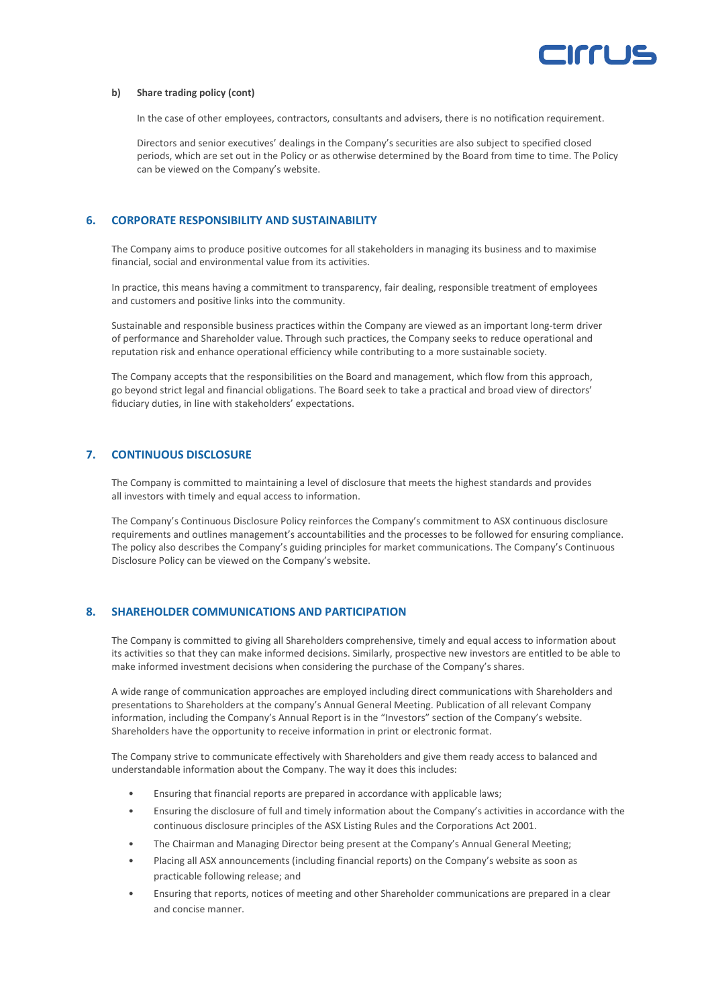

#### **b) Share trading policy (cont)**

In the case of other employees, contractors, consultants and advisers, there is no notification requirement.

Directors and senior executives' dealings in the Company's securities are also subject to specified closed periods, which are set out in the Policy or as otherwise determined by the Board from time to time. The Policy can be viewed on the Company's website.

### **6. CORPORATE RESPONSIBILITY AND SUSTAINABILITY**

The Company aims to produce positive outcomes for all stakeholders in managing its business and to maximise financial, social and environmental value from its activities.

In practice, this means having a commitment to transparency, fair dealing, responsible treatment of employees and customers and positive links into the community.

Sustainable and responsible business practices within the Company are viewed as an important long-term driver of performance and Shareholder value. Through such practices, the Company seeks to reduce operational and reputation risk and enhance operational efficiency while contributing to a more sustainable society.

The Company accepts that the responsibilities on the Board and management, which flow from this approach, go beyond strict legal and financial obligations. The Board seek to take a practical and broad view of directors' fiduciary duties, in line with stakeholders' expectations.

## **7. CONTINUOUS DISCLOSURE**

The Company is committed to maintaining a level of disclosure that meets the highest standards and provides all investors with timely and equal access to information.

The Company's Continuous Disclosure Policy reinforces the Company's commitment to ASX continuous disclosure requirements and outlines management's accountabilities and the processes to be followed for ensuring compliance. The policy also describes the Company's guiding principles for market communications. The Company's Continuous Disclosure Policy can be viewed on the Company's website.

### **8. SHAREHOLDER COMMUNICATIONS AND PARTICIPATION**

The Company is committed to giving all Shareholders comprehensive, timely and equal access to information about its activities so that they can make informed decisions. Similarly, prospective new investors are entitled to be able to make informed investment decisions when considering the purchase of the Company's shares.

A wide range of communication approaches are employed including direct communications with Shareholders and presentations to Shareholders at the company's Annual General Meeting. Publication of all relevant Company information, including the Company's Annual Report is in the "Investors" section of the Company's website. Shareholders have the opportunity to receive information in print or electronic format.

The Company strive to communicate effectively with Shareholders and give them ready access to balanced and understandable information about the Company. The way it does this includes:

- Ensuring that financial reports are prepared in accordance with applicable laws;
- Ensuring the disclosure of full and timely information about the Company's activities in accordance with the continuous disclosure principles of the ASX Listing Rules and the Corporations Act 2001.
- The Chairman and Managing Director being present at the Company's Annual General Meeting;
- Placing all ASX announcements (including financial reports) on the Company's website as soon as practicable following release; and
- Ensuring that reports, notices of meeting and other Shareholder communications are prepared in a clear and concise manner.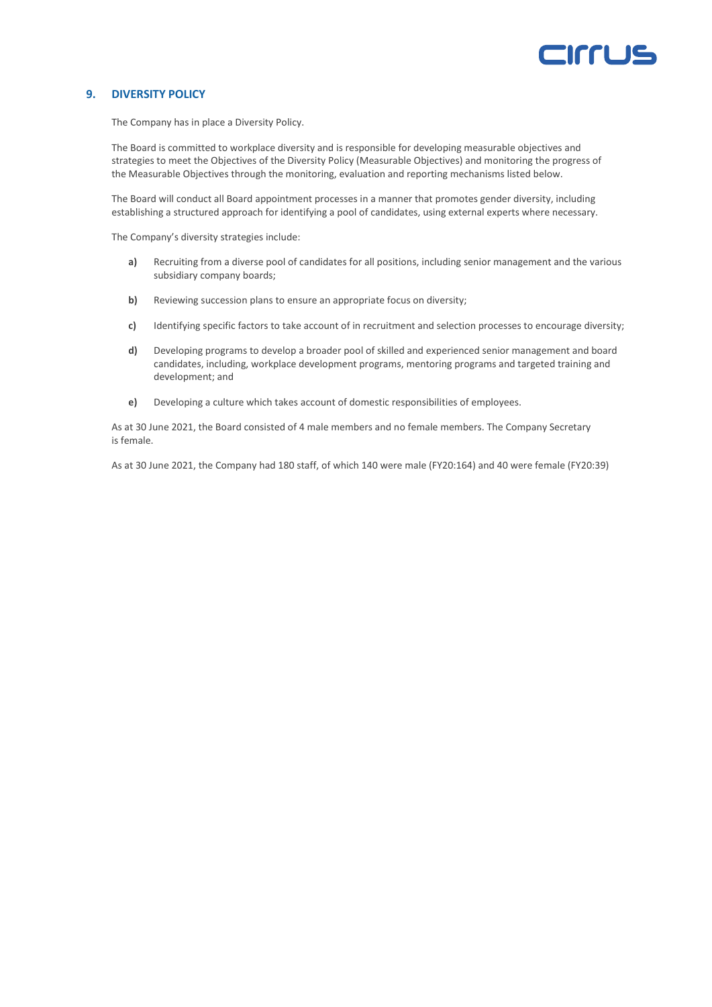## Irri 12

### **9. DIVERSITY POLICY**

The Company has in place a Diversity Policy.

The Board is committed to workplace diversity and is responsible for developing measurable objectives and strategies to meet the Objectives of the Diversity Policy (Measurable Objectives) and monitoring the progress of the Measurable Objectives through the monitoring, evaluation and reporting mechanisms listed below.

The Board will conduct all Board appointment processes in a manner that promotes gender diversity, including establishing a structured approach for identifying a pool of candidates, using external experts where necessary.

The Company's diversity strategies include:

- **a)** Recruiting from a diverse pool of candidates for all positions, including senior management and the various subsidiary company boards;
- **b)** Reviewing succession plans to ensure an appropriate focus on diversity;
- **c)** Identifying specific factors to take account of in recruitment and selection processes to encourage diversity;
- **d)** Developing programs to develop a broader pool of skilled and experienced senior management and board candidates, including, workplace development programs, mentoring programs and targeted training and development; and
- **e)** Developing a culture which takes account of domestic responsibilities of employees.

As at 30 June 2021, the Board consisted of 4 male members and no female members. The Company Secretary is female.

As at 30 June 2021, the Company had 180 staff, of which 140 were male (FY20:164) and 40 were female (FY20:39)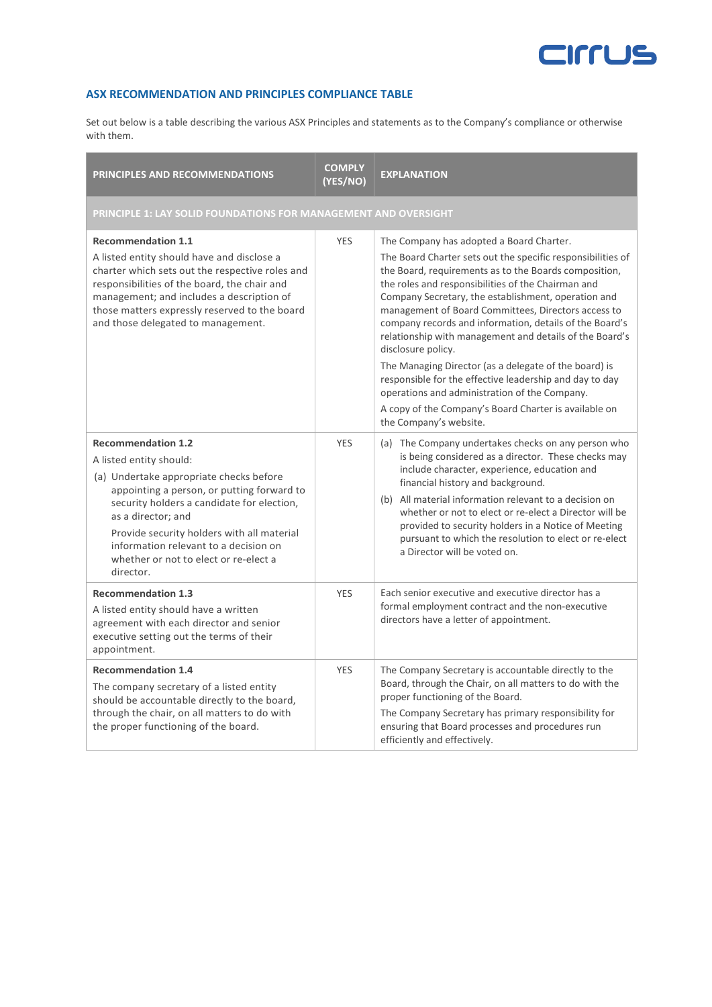

## **ASX RECOMMENDATION AND PRINCIPLES COMPLIANCE TABLE**

Set out below is a table describing the various ASX Principles and statements as to the Company's compliance or otherwise with them.

| <b>PRINCIPLES AND RECOMMENDATIONS</b>                                                                                                                                                                                                                                                                                                                          | <b>COMPLY</b><br>(YES/NO) | <b>EXPLANATION</b>                                                                                                                                                                                                                                                                                                                                                                                                                                                                                                                                                                                                                                                                                                                       |  |
|----------------------------------------------------------------------------------------------------------------------------------------------------------------------------------------------------------------------------------------------------------------------------------------------------------------------------------------------------------------|---------------------------|------------------------------------------------------------------------------------------------------------------------------------------------------------------------------------------------------------------------------------------------------------------------------------------------------------------------------------------------------------------------------------------------------------------------------------------------------------------------------------------------------------------------------------------------------------------------------------------------------------------------------------------------------------------------------------------------------------------------------------------|--|
| PRINCIPLE 1: LAY SOLID FOUNDATIONS FOR MANAGEMENT AND OVERSIGHT                                                                                                                                                                                                                                                                                                |                           |                                                                                                                                                                                                                                                                                                                                                                                                                                                                                                                                                                                                                                                                                                                                          |  |
| <b>Recommendation 1.1</b><br>A listed entity should have and disclose a<br>charter which sets out the respective roles and<br>responsibilities of the board, the chair and<br>management; and includes a description of<br>those matters expressly reserved to the board<br>and those delegated to management.                                                 | <b>YES</b>                | The Company has adopted a Board Charter.<br>The Board Charter sets out the specific responsibilities of<br>the Board, requirements as to the Boards composition,<br>the roles and responsibilities of the Chairman and<br>Company Secretary, the establishment, operation and<br>management of Board Committees, Directors access to<br>company records and information, details of the Board's<br>relationship with management and details of the Board's<br>disclosure policy.<br>The Managing Director (as a delegate of the board) is<br>responsible for the effective leadership and day to day<br>operations and administration of the Company.<br>A copy of the Company's Board Charter is available on<br>the Company's website. |  |
| <b>Recommendation 1.2</b><br>A listed entity should:<br>(a) Undertake appropriate checks before<br>appointing a person, or putting forward to<br>security holders a candidate for election,<br>as a director; and<br>Provide security holders with all material<br>information relevant to a decision on<br>whether or not to elect or re-elect a<br>director. | <b>YES</b>                | (a) The Company undertakes checks on any person who<br>is being considered as a director. These checks may<br>include character, experience, education and<br>financial history and background.<br>(b) All material information relevant to a decision on<br>whether or not to elect or re-elect a Director will be<br>provided to security holders in a Notice of Meeting<br>pursuant to which the resolution to elect or re-elect<br>a Director will be voted on.                                                                                                                                                                                                                                                                      |  |
| <b>Recommendation 1.3</b><br>A listed entity should have a written<br>agreement with each director and senior<br>executive setting out the terms of their<br>appointment.                                                                                                                                                                                      | YES                       | Each senior executive and executive director has a<br>formal employment contract and the non-executive<br>directors have a letter of appointment.                                                                                                                                                                                                                                                                                                                                                                                                                                                                                                                                                                                        |  |
| <b>Recommendation 1.4</b><br>The company secretary of a listed entity<br>should be accountable directly to the board,<br>through the chair, on all matters to do with<br>the proper functioning of the board.                                                                                                                                                  | <b>YES</b>                | The Company Secretary is accountable directly to the<br>Board, through the Chair, on all matters to do with the<br>proper functioning of the Board.<br>The Company Secretary has primary responsibility for<br>ensuring that Board processes and procedures run<br>efficiently and effectively.                                                                                                                                                                                                                                                                                                                                                                                                                                          |  |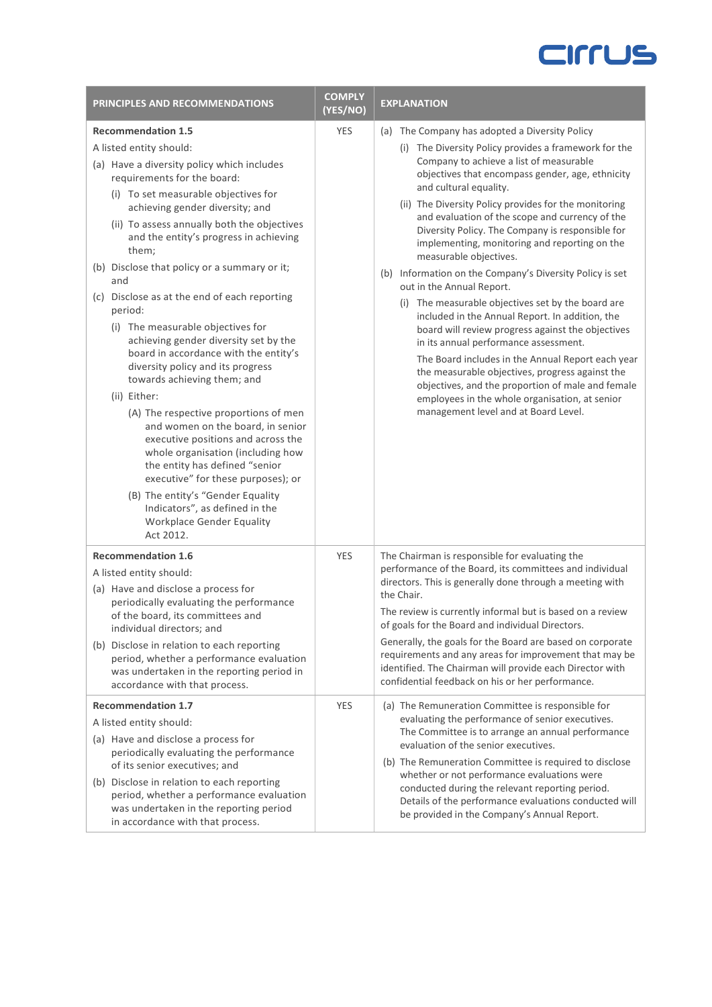| PRINCIPLES AND RECOMMENDATIONS                                                                                                                                                                                                                                                                                                                                                                                                                                                                                                                                                                                                                                                                                                                                                                                                                                                                                                                                   | <b>COMPLY</b><br>(YES/NO) | <b>EXPLANATION</b>                                                                                                                                                                                                                                                                                                                                                                                                                                                                                                                                                                                                                                                                                                                                                                                                                                                                                                                                                               |
|------------------------------------------------------------------------------------------------------------------------------------------------------------------------------------------------------------------------------------------------------------------------------------------------------------------------------------------------------------------------------------------------------------------------------------------------------------------------------------------------------------------------------------------------------------------------------------------------------------------------------------------------------------------------------------------------------------------------------------------------------------------------------------------------------------------------------------------------------------------------------------------------------------------------------------------------------------------|---------------------------|----------------------------------------------------------------------------------------------------------------------------------------------------------------------------------------------------------------------------------------------------------------------------------------------------------------------------------------------------------------------------------------------------------------------------------------------------------------------------------------------------------------------------------------------------------------------------------------------------------------------------------------------------------------------------------------------------------------------------------------------------------------------------------------------------------------------------------------------------------------------------------------------------------------------------------------------------------------------------------|
| <b>Recommendation 1.5</b>                                                                                                                                                                                                                                                                                                                                                                                                                                                                                                                                                                                                                                                                                                                                                                                                                                                                                                                                        | <b>YES</b>                | (a) The Company has adopted a Diversity Policy                                                                                                                                                                                                                                                                                                                                                                                                                                                                                                                                                                                                                                                                                                                                                                                                                                                                                                                                   |
| A listed entity should:<br>(a) Have a diversity policy which includes<br>requirements for the board:<br>(i) To set measurable objectives for<br>achieving gender diversity; and<br>(ii) To assess annually both the objectives<br>and the entity's progress in achieving<br>them;<br>(b) Disclose that policy or a summary or it;<br>and<br>(c) Disclose as at the end of each reporting<br>period:<br>(i) The measurable objectives for<br>achieving gender diversity set by the<br>board in accordance with the entity's<br>diversity policy and its progress<br>towards achieving them; and<br>(ii) Either:<br>(A) The respective proportions of men<br>and women on the board, in senior<br>executive positions and across the<br>whole organisation (including how<br>the entity has defined "senior<br>executive" for these purposes); or<br>(B) The entity's "Gender Equality<br>Indicators", as defined in the<br>Workplace Gender Equality<br>Act 2012. |                           | (i) The Diversity Policy provides a framework for the<br>Company to achieve a list of measurable<br>objectives that encompass gender, age, ethnicity<br>and cultural equality.<br>(ii) The Diversity Policy provides for the monitoring<br>and evaluation of the scope and currency of the<br>Diversity Policy. The Company is responsible for<br>implementing, monitoring and reporting on the<br>measurable objectives.<br>(b) Information on the Company's Diversity Policy is set<br>out in the Annual Report.<br>(i) The measurable objectives set by the board are<br>included in the Annual Report. In addition, the<br>board will review progress against the objectives<br>in its annual performance assessment.<br>The Board includes in the Annual Report each year<br>the measurable objectives, progress against the<br>objectives, and the proportion of male and female<br>employees in the whole organisation, at senior<br>management level and at Board Level. |
| <b>Recommendation 1.6</b><br>A listed entity should:<br>(a) Have and disclose a process for<br>periodically evaluating the performance<br>of the board, its committees and<br>individual directors; and<br>(b) Disclose in relation to each reporting<br>period, whether a performance evaluation<br>was undertaken in the reporting period in<br>accordance with that process.                                                                                                                                                                                                                                                                                                                                                                                                                                                                                                                                                                                  | <b>YES</b>                | The Chairman is responsible for evaluating the<br>performance of the Board, its committees and individual<br>directors. This is generally done through a meeting with<br>the Chair.<br>The review is currently informal but is based on a review<br>of goals for the Board and individual Directors.<br>Generally, the goals for the Board are based on corporate<br>requirements and any areas for improvement that may be<br>identified. The Chairman will provide each Director with<br>confidential feedback on his or her performance.                                                                                                                                                                                                                                                                                                                                                                                                                                      |
| <b>Recommendation 1.7</b><br>A listed entity should:<br>(a) Have and disclose a process for<br>periodically evaluating the performance<br>of its senior executives; and<br>(b) Disclose in relation to each reporting<br>period, whether a performance evaluation<br>was undertaken in the reporting period<br>in accordance with that process.                                                                                                                                                                                                                                                                                                                                                                                                                                                                                                                                                                                                                  | <b>YES</b>                | (a) The Remuneration Committee is responsible for<br>evaluating the performance of senior executives.<br>The Committee is to arrange an annual performance<br>evaluation of the senior executives.<br>(b) The Remuneration Committee is required to disclose<br>whether or not performance evaluations were<br>conducted during the relevant reporting period.<br>Details of the performance evaluations conducted will<br>be provided in the Company's Annual Report.                                                                                                                                                                                                                                                                                                                                                                                                                                                                                                           |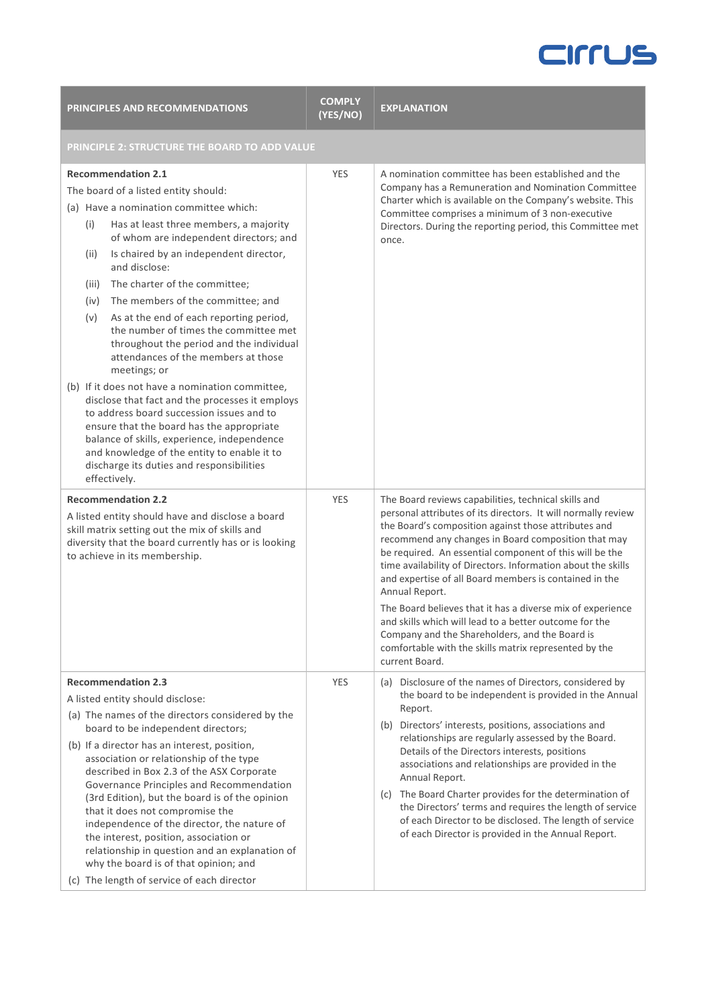| <b>PRINCIPLES AND RECOMMENDATIONS</b>                                                                                                                                                                                                                                                                                                                                                                                                                                                                                                                                                                                                                                                                                                                                                                                                                                                                                     | <b>COMPLY</b><br>(YES/NO) | <b>EXPLANATION</b>                                                                                                                                                                                                                                                                                                                                                                                                                                                                                                                                                                                                                                                                               |
|---------------------------------------------------------------------------------------------------------------------------------------------------------------------------------------------------------------------------------------------------------------------------------------------------------------------------------------------------------------------------------------------------------------------------------------------------------------------------------------------------------------------------------------------------------------------------------------------------------------------------------------------------------------------------------------------------------------------------------------------------------------------------------------------------------------------------------------------------------------------------------------------------------------------------|---------------------------|--------------------------------------------------------------------------------------------------------------------------------------------------------------------------------------------------------------------------------------------------------------------------------------------------------------------------------------------------------------------------------------------------------------------------------------------------------------------------------------------------------------------------------------------------------------------------------------------------------------------------------------------------------------------------------------------------|
| PRINCIPLE 2: STRUCTURE THE BOARD TO ADD VALUE                                                                                                                                                                                                                                                                                                                                                                                                                                                                                                                                                                                                                                                                                                                                                                                                                                                                             |                           |                                                                                                                                                                                                                                                                                                                                                                                                                                                                                                                                                                                                                                                                                                  |
| <b>Recommendation 2.1</b><br>The board of a listed entity should:<br>(a) Have a nomination committee which:<br>Has at least three members, a majority<br>(i)<br>of whom are independent directors; and<br>Is chaired by an independent director,<br>(ii)<br>and disclose:<br>The charter of the committee;<br>(iii)<br>The members of the committee; and<br>(iv)<br>As at the end of each reporting period,<br>(v)<br>the number of times the committee met<br>throughout the period and the individual<br>attendances of the members at those<br>meetings; or<br>(b) If it does not have a nomination committee,<br>disclose that fact and the processes it employs<br>to address board succession issues and to<br>ensure that the board has the appropriate<br>balance of skills, experience, independence<br>and knowledge of the entity to enable it to<br>discharge its duties and responsibilities<br>effectively. | <b>YES</b>                | A nomination committee has been established and the<br>Company has a Remuneration and Nomination Committee<br>Charter which is available on the Company's website. This<br>Committee comprises a minimum of 3 non-executive<br>Directors. During the reporting period, this Committee met<br>once.                                                                                                                                                                                                                                                                                                                                                                                               |
| <b>Recommendation 2.2</b><br>A listed entity should have and disclose a board<br>skill matrix setting out the mix of skills and<br>diversity that the board currently has or is looking<br>to achieve in its membership.                                                                                                                                                                                                                                                                                                                                                                                                                                                                                                                                                                                                                                                                                                  | <b>YES</b>                | The Board reviews capabilities, technical skills and<br>personal attributes of its directors. It will normally review<br>the Board's composition against those attributes and<br>recommend any changes in Board composition that may<br>be required. An essential component of this will be the<br>time availability of Directors. Information about the skills<br>and expertise of all Board members is contained in the<br>Annual Report.<br>The Board believes that it has a diverse mix of experience<br>and skills which will lead to a better outcome for the<br>Company and the Shareholders, and the Board is<br>comfortable with the skills matrix represented by the<br>current Board. |
| <b>Recommendation 2.3</b><br>A listed entity should disclose:<br>(a) The names of the directors considered by the<br>board to be independent directors;<br>(b) If a director has an interest, position,<br>association or relationship of the type<br>described in Box 2.3 of the ASX Corporate<br>Governance Principles and Recommendation<br>(3rd Edition), but the board is of the opinion<br>that it does not compromise the<br>independence of the director, the nature of<br>the interest, position, association or<br>relationship in question and an explanation of<br>why the board is of that opinion; and<br>(c) The length of service of each director                                                                                                                                                                                                                                                        | <b>YES</b>                | (a) Disclosure of the names of Directors, considered by<br>the board to be independent is provided in the Annual<br>Report.<br>(b) Directors' interests, positions, associations and<br>relationships are regularly assessed by the Board.<br>Details of the Directors interests, positions<br>associations and relationships are provided in the<br>Annual Report.<br>(c) The Board Charter provides for the determination of<br>the Directors' terms and requires the length of service<br>of each Director to be disclosed. The length of service<br>of each Director is provided in the Annual Report.                                                                                       |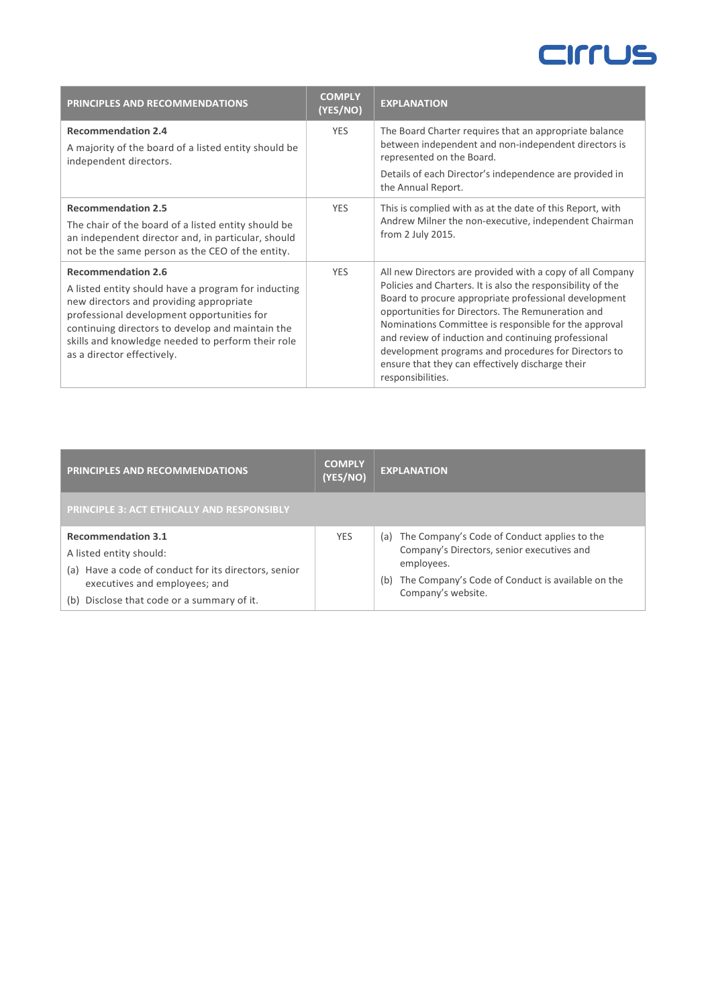| <b>PRINCIPLES AND RECOMMENDATIONS</b>                                                                                                                                                                                                                                                                            | <b>COMPLY</b><br>(YES/NO) | <b>EXPLANATION</b>                                                                                                                                                                                                                                                                                                                                                                                                                                                                      |
|------------------------------------------------------------------------------------------------------------------------------------------------------------------------------------------------------------------------------------------------------------------------------------------------------------------|---------------------------|-----------------------------------------------------------------------------------------------------------------------------------------------------------------------------------------------------------------------------------------------------------------------------------------------------------------------------------------------------------------------------------------------------------------------------------------------------------------------------------------|
| <b>Recommendation 2.4</b><br>A majority of the board of a listed entity should be<br>independent directors.                                                                                                                                                                                                      | <b>YES</b>                | The Board Charter requires that an appropriate balance<br>between independent and non-independent directors is<br>represented on the Board.<br>Details of each Director's independence are provided in<br>the Annual Report.                                                                                                                                                                                                                                                            |
| <b>Recommendation 2.5</b><br>The chair of the board of a listed entity should be<br>an independent director and, in particular, should<br>not be the same person as the CEO of the entity.                                                                                                                       | <b>YES</b>                | This is complied with as at the date of this Report, with<br>Andrew Milner the non-executive, independent Chairman<br>from 2 July 2015.                                                                                                                                                                                                                                                                                                                                                 |
| <b>Recommendation 2.6</b><br>A listed entity should have a program for inducting<br>new directors and providing appropriate<br>professional development opportunities for<br>continuing directors to develop and maintain the<br>skills and knowledge needed to perform their role<br>as a director effectively. | <b>YES</b>                | All new Directors are provided with a copy of all Company<br>Policies and Charters. It is also the responsibility of the<br>Board to procure appropriate professional development<br>opportunities for Directors. The Remuneration and<br>Nominations Committee is responsible for the approval<br>and review of induction and continuing professional<br>development programs and procedures for Directors to<br>ensure that they can effectively discharge their<br>responsibilities. |

| <b>PRINCIPLES AND RECOMMENDATIONS</b>                                                 | <b>COMPLY</b><br>(YES/NO) | <b>EXPLANATION</b>                                                                             |
|---------------------------------------------------------------------------------------|---------------------------|------------------------------------------------------------------------------------------------|
| <b>PRINCIPLE 3: ACT ETHICALLY AND RESPONSIBLY</b>                                     |                           |                                                                                                |
| <b>Recommendation 3.1</b>                                                             | <b>YES</b>                | (a) The Company's Code of Conduct applies to the<br>Company's Directors, senior executives and |
| A listed entity should:                                                               |                           | employees.                                                                                     |
| (a) Have a code of conduct for its directors, senior<br>executives and employees; and |                           | The Company's Code of Conduct is available on the<br>(b)                                       |
| (b) Disclose that code or a summary of it.                                            |                           | Company's website.                                                                             |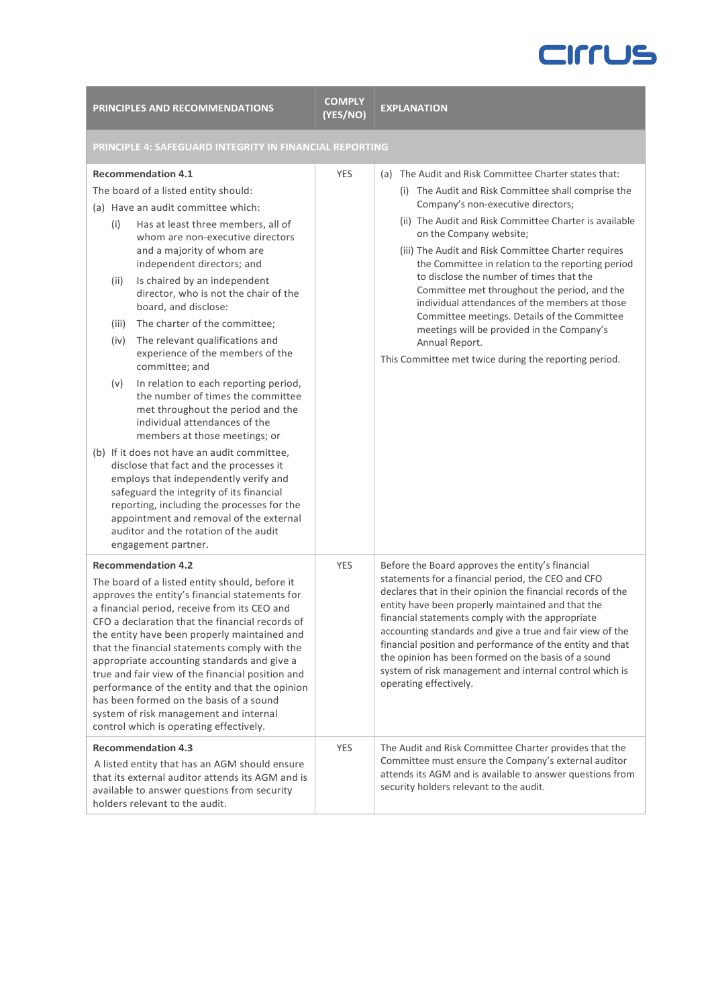| <b>PRINCIPLES AND RECOMMENDATIONS</b>                                                                                                                                                                                                                                                                                                                                                                                                                                                                                                                                                                                                                                                                                                                                                                                                                                                                                                                                                                                                        | <b>COMPLY</b><br>(YES/NO) | <b>EXPLANATION</b>                                                                                                                                                                                                                                                                                                                                                                                                                                                                                                                                                                                                                                                         |  |
|----------------------------------------------------------------------------------------------------------------------------------------------------------------------------------------------------------------------------------------------------------------------------------------------------------------------------------------------------------------------------------------------------------------------------------------------------------------------------------------------------------------------------------------------------------------------------------------------------------------------------------------------------------------------------------------------------------------------------------------------------------------------------------------------------------------------------------------------------------------------------------------------------------------------------------------------------------------------------------------------------------------------------------------------|---------------------------|----------------------------------------------------------------------------------------------------------------------------------------------------------------------------------------------------------------------------------------------------------------------------------------------------------------------------------------------------------------------------------------------------------------------------------------------------------------------------------------------------------------------------------------------------------------------------------------------------------------------------------------------------------------------------|--|
| PRINCIPLE 4: SAFEGUARD INTEGRITY IN FINANCIAL REPORTING                                                                                                                                                                                                                                                                                                                                                                                                                                                                                                                                                                                                                                                                                                                                                                                                                                                                                                                                                                                      |                           |                                                                                                                                                                                                                                                                                                                                                                                                                                                                                                                                                                                                                                                                            |  |
| <b>Recommendation 4.1</b><br>The board of a listed entity should:<br>(a) Have an audit committee which:<br>Has at least three members, all of<br>(i)<br>whom are non-executive directors<br>and a majority of whom are<br>independent directors; and<br>Is chaired by an independent<br>(ii)<br>director, who is not the chair of the<br>board, and disclose:<br>The charter of the committee;<br>(iii)<br>The relevant qualifications and<br>(iv)<br>experience of the members of the<br>committee; and<br>In relation to each reporting period,<br>(v)<br>the number of times the committee<br>met throughout the period and the<br>individual attendances of the<br>members at those meetings; or<br>(b) If it does not have an audit committee,<br>disclose that fact and the processes it<br>employs that independently verify and<br>safeguard the integrity of its financial<br>reporting, including the processes for the<br>appointment and removal of the external<br>auditor and the rotation of the audit<br>engagement partner. | <b>YES</b>                | (a) The Audit and Risk Committee Charter states that:<br>(i) The Audit and Risk Committee shall comprise the<br>Company's non-executive directors;<br>(ii) The Audit and Risk Committee Charter is available<br>on the Company website;<br>(iii) The Audit and Risk Committee Charter requires<br>the Committee in relation to the reporting period<br>to disclose the number of times that the<br>Committee met throughout the period, and the<br>individual attendances of the members at those<br>Committee meetings. Details of the Committee<br>meetings will be provided in the Company's<br>Annual Report.<br>This Committee met twice during the reporting period. |  |
| <b>Recommendation 4.2</b><br>The board of a listed entity should, before it<br>approves the entity's financial statements for<br>a financial period, receive from its CEO and<br>CFO a declaration that the financial records of<br>the entity have been properly maintained and<br>that the financial statements comply with the<br>appropriate accounting standards and give a<br>true and fair view of the financial position and<br>performance of the entity and that the opinion<br>has been formed on the basis of a sound<br>system of risk management and internal<br>control which is operating effectively.                                                                                                                                                                                                                                                                                                                                                                                                                       | <b>YES</b>                | Before the Board approves the entity's financial<br>statements for a financial period, the CEO and CFO<br>declares that in their opinion the financial records of the<br>entity have been properly maintained and that the<br>financial statements comply with the appropriate<br>accounting standards and give a true and fair view of the<br>financial position and performance of the entity and that<br>the opinion has been formed on the basis of a sound<br>system of risk management and internal control which is<br>operating effectively.                                                                                                                       |  |
| <b>Recommendation 4.3</b><br>A listed entity that has an AGM should ensure<br>that its external auditor attends its AGM and is<br>available to answer questions from security<br>holders relevant to the audit.                                                                                                                                                                                                                                                                                                                                                                                                                                                                                                                                                                                                                                                                                                                                                                                                                              | <b>YES</b>                | The Audit and Risk Committee Charter provides that the<br>Committee must ensure the Company's external auditor<br>attends its AGM and is available to answer questions from<br>security holders relevant to the audit.                                                                                                                                                                                                                                                                                                                                                                                                                                                     |  |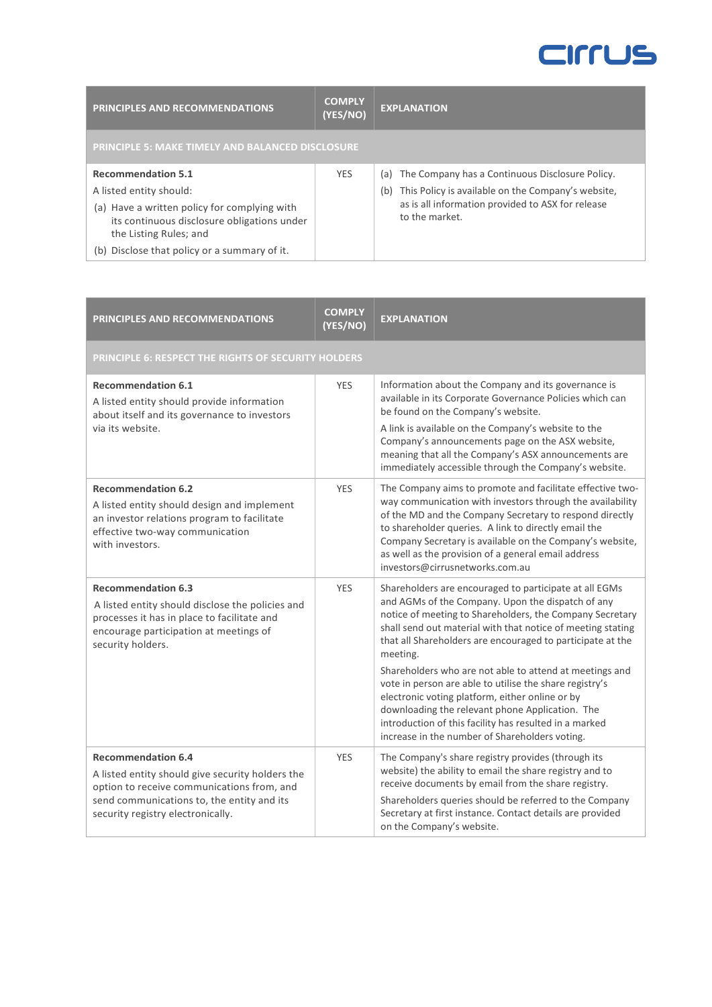| PRINCIPLES AND RECOMMENDATIONS                                                                                                                   | <b>COMPLY</b><br>(YES/NO) | <b>EXPLANATION</b>                                                                                                               |
|--------------------------------------------------------------------------------------------------------------------------------------------------|---------------------------|----------------------------------------------------------------------------------------------------------------------------------|
| <b>PRINCIPLE 5: MAKE TIMELY AND BALANCED DISCLOSURE</b>                                                                                          |                           |                                                                                                                                  |
| <b>Recommendation 5.1</b>                                                                                                                        | <b>YES</b>                | The Company has a Continuous Disclosure Policy.<br>(a)                                                                           |
| A listed entity should:<br>(a) Have a written policy for complying with<br>its continuous disclosure obligations under<br>the Listing Rules; and |                           | This Policy is available on the Company's website,<br>(b)<br>as is all information provided to ASX for release<br>to the market. |
| Disclose that policy or a summary of it.<br>(b)                                                                                                  |                           |                                                                                                                                  |

| <b>PRINCIPLES AND RECOMMENDATIONS</b>                                                                                                                                                                          | <b>COMPLY</b><br>(YES/NO) | <b>EXPLANATION</b>                                                                                                                                                                                                                                                                                                                                                                                                                                                                                                                                                                                                                                       |
|----------------------------------------------------------------------------------------------------------------------------------------------------------------------------------------------------------------|---------------------------|----------------------------------------------------------------------------------------------------------------------------------------------------------------------------------------------------------------------------------------------------------------------------------------------------------------------------------------------------------------------------------------------------------------------------------------------------------------------------------------------------------------------------------------------------------------------------------------------------------------------------------------------------------|
| PRINCIPLE 6: RESPECT THE RIGHTS OF SECURITY HOLDERS                                                                                                                                                            |                           |                                                                                                                                                                                                                                                                                                                                                                                                                                                                                                                                                                                                                                                          |
| <b>Recommendation 6.1</b><br>A listed entity should provide information<br>about itself and its governance to investors<br>via its website.                                                                    | <b>YES</b>                | Information about the Company and its governance is<br>available in its Corporate Governance Policies which can<br>be found on the Company's website.<br>A link is available on the Company's website to the<br>Company's announcements page on the ASX website,<br>meaning that all the Company's ASX announcements are<br>immediately accessible through the Company's website.                                                                                                                                                                                                                                                                        |
| <b>Recommendation 6.2</b><br>A listed entity should design and implement<br>an investor relations program to facilitate<br>effective two-way communication<br>with investors.                                  | <b>YES</b>                | The Company aims to promote and facilitate effective two-<br>way communication with investors through the availability<br>of the MD and the Company Secretary to respond directly<br>to shareholder queries. A link to directly email the<br>Company Secretary is available on the Company's website,<br>as well as the provision of a general email address<br>investors@cirrusnetworks.com.au                                                                                                                                                                                                                                                          |
| <b>Recommendation 6.3</b><br>A listed entity should disclose the policies and<br>processes it has in place to facilitate and<br>encourage participation at meetings of<br>security holders.                    | <b>YES</b>                | Shareholders are encouraged to participate at all EGMs<br>and AGMs of the Company. Upon the dispatch of any<br>notice of meeting to Shareholders, the Company Secretary<br>shall send out material with that notice of meeting stating<br>that all Shareholders are encouraged to participate at the<br>meeting.<br>Shareholders who are not able to attend at meetings and<br>vote in person are able to utilise the share registry's<br>electronic voting platform, either online or by<br>downloading the relevant phone Application. The<br>introduction of this facility has resulted in a marked<br>increase in the number of Shareholders voting. |
| <b>Recommendation 6.4</b><br>A listed entity should give security holders the<br>option to receive communications from, and<br>send communications to, the entity and its<br>security registry electronically. | <b>YES</b>                | The Company's share registry provides (through its<br>website) the ability to email the share registry and to<br>receive documents by email from the share registry.<br>Shareholders queries should be referred to the Company<br>Secretary at first instance. Contact details are provided<br>on the Company's website.                                                                                                                                                                                                                                                                                                                                 |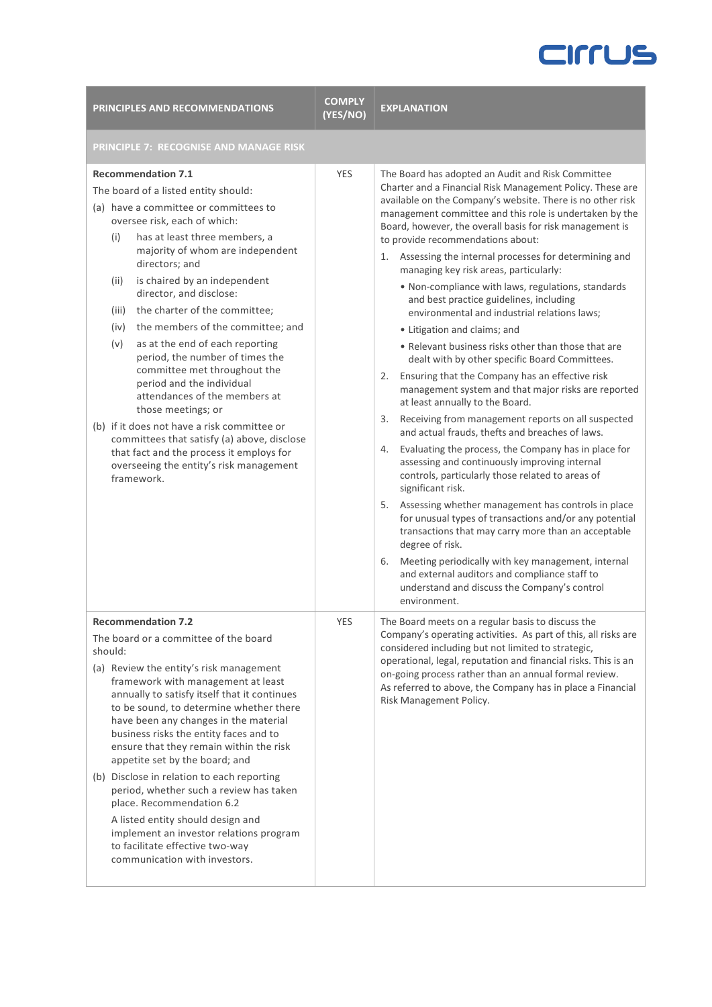| PRINCIPLES AND RECOMMENDATIONS                                                                                                                                                                                                                                                                                                                                                                                                                                                                                                                                                                                                                                                                                                                                                                         | <b>COMPLY</b><br>(YES/NO) | <b>EXPLANATION</b>                                                                                                                                                                                                                                                                                                                                                                                                                                                                                                                                                                                                                                                                                                                                                                                                                                                                                                                                                                                                                                                                                                                                                                                                                                                                                                                                                                                                                                                                                                                                                                |
|--------------------------------------------------------------------------------------------------------------------------------------------------------------------------------------------------------------------------------------------------------------------------------------------------------------------------------------------------------------------------------------------------------------------------------------------------------------------------------------------------------------------------------------------------------------------------------------------------------------------------------------------------------------------------------------------------------------------------------------------------------------------------------------------------------|---------------------------|-----------------------------------------------------------------------------------------------------------------------------------------------------------------------------------------------------------------------------------------------------------------------------------------------------------------------------------------------------------------------------------------------------------------------------------------------------------------------------------------------------------------------------------------------------------------------------------------------------------------------------------------------------------------------------------------------------------------------------------------------------------------------------------------------------------------------------------------------------------------------------------------------------------------------------------------------------------------------------------------------------------------------------------------------------------------------------------------------------------------------------------------------------------------------------------------------------------------------------------------------------------------------------------------------------------------------------------------------------------------------------------------------------------------------------------------------------------------------------------------------------------------------------------------------------------------------------------|
| PRINCIPLE 7: RECOGNISE AND MANAGE RISK                                                                                                                                                                                                                                                                                                                                                                                                                                                                                                                                                                                                                                                                                                                                                                 |                           |                                                                                                                                                                                                                                                                                                                                                                                                                                                                                                                                                                                                                                                                                                                                                                                                                                                                                                                                                                                                                                                                                                                                                                                                                                                                                                                                                                                                                                                                                                                                                                                   |
| <b>Recommendation 7.1</b><br>The board of a listed entity should:<br>(a) have a committee or committees to<br>oversee risk, each of which:<br>has at least three members, a<br>(i)<br>majority of whom are independent<br>directors; and<br>is chaired by an independent<br>(ii)<br>director, and disclose:<br>(iii)<br>the charter of the committee;<br>the members of the committee; and<br>(iv)<br>(v)<br>as at the end of each reporting<br>period, the number of times the<br>committee met throughout the<br>period and the individual<br>attendances of the members at<br>those meetings; or<br>(b) if it does not have a risk committee or<br>committees that satisfy (a) above, disclose<br>that fact and the process it employs for<br>overseeing the entity's risk management<br>framework. | <b>YES</b>                | The Board has adopted an Audit and Risk Committee<br>Charter and a Financial Risk Management Policy. These are<br>available on the Company's website. There is no other risk<br>management committee and this role is undertaken by the<br>Board, however, the overall basis for risk management is<br>to provide recommendations about:<br>Assessing the internal processes for determining and<br>1.<br>managing key risk areas, particularly:<br>. Non-compliance with laws, regulations, standards<br>and best practice guidelines, including<br>environmental and industrial relations laws;<br>• Litigation and claims; and<br>• Relevant business risks other than those that are<br>dealt with by other specific Board Committees.<br>Ensuring that the Company has an effective risk<br>2.<br>management system and that major risks are reported<br>at least annually to the Board.<br>Receiving from management reports on all suspected<br>3.<br>and actual frauds, thefts and breaches of laws.<br>Evaluating the process, the Company has in place for<br>4.<br>assessing and continuously improving internal<br>controls, particularly those related to areas of<br>significant risk.<br>Assessing whether management has controls in place<br>5.<br>for unusual types of transactions and/or any potential<br>transactions that may carry more than an acceptable<br>degree of risk.<br>Meeting periodically with key management, internal<br>6.<br>and external auditors and compliance staff to<br>understand and discuss the Company's control<br>environment. |
| <b>Recommendation 7.2</b><br>The board or a committee of the board<br>should:<br>(a) Review the entity's risk management<br>framework with management at least<br>annually to satisfy itself that it continues<br>to be sound, to determine whether there<br>have been any changes in the material<br>business risks the entity faces and to<br>ensure that they remain within the risk<br>appetite set by the board; and<br>(b) Disclose in relation to each reporting<br>period, whether such a review has taken<br>place. Recommendation 6.2<br>A listed entity should design and<br>implement an investor relations program<br>to facilitate effective two-way<br>communication with investors.                                                                                                    | <b>YES</b>                | The Board meets on a regular basis to discuss the<br>Company's operating activities. As part of this, all risks are<br>considered including but not limited to strategic,<br>operational, legal, reputation and financial risks. This is an<br>on-going process rather than an annual formal review.<br>As referred to above, the Company has in place a Financial<br>Risk Management Policy.                                                                                                                                                                                                                                                                                                                                                                                                                                                                                                                                                                                                                                                                                                                                                                                                                                                                                                                                                                                                                                                                                                                                                                                     |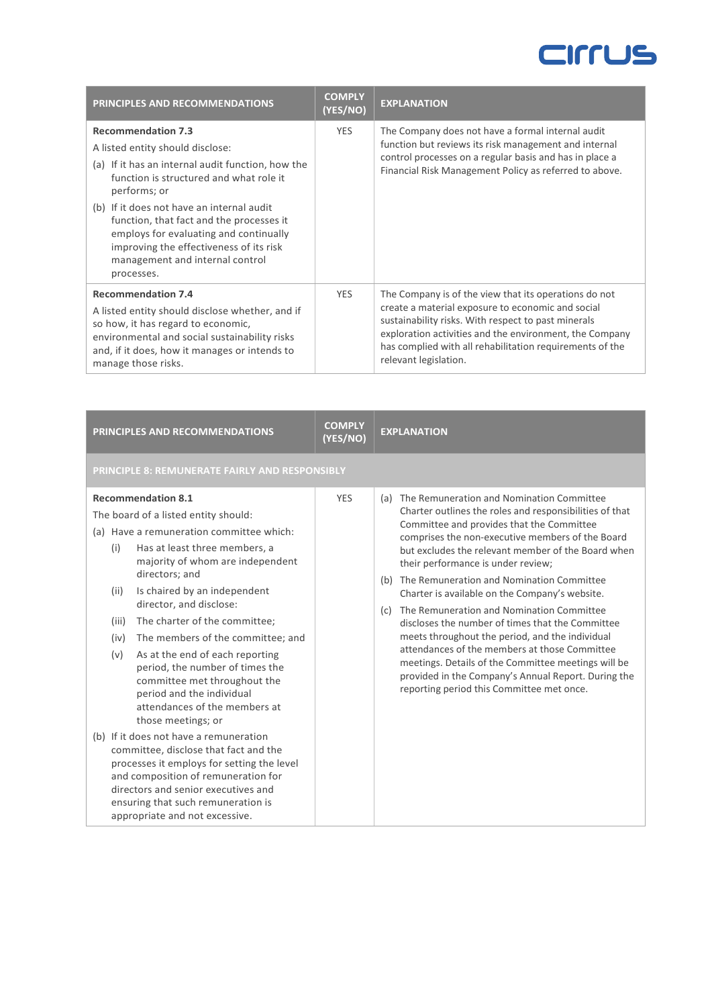| PRINCIPLES AND RECOMMENDATIONS                                                                                                                                                                                                                                                                                                                                                                               | <b>COMPLY</b><br>(YES/NO) | <b>EXPLANATION</b>                                                                                                                                                                                                                                                                                                |
|--------------------------------------------------------------------------------------------------------------------------------------------------------------------------------------------------------------------------------------------------------------------------------------------------------------------------------------------------------------------------------------------------------------|---------------------------|-------------------------------------------------------------------------------------------------------------------------------------------------------------------------------------------------------------------------------------------------------------------------------------------------------------------|
| <b>Recommendation 7.3</b><br>A listed entity should disclose:<br>(a) If it has an internal audit function, how the<br>function is structured and what role it<br>performs; or<br>(b) If it does not have an internal audit<br>function, that fact and the processes it<br>employs for evaluating and continually<br>improving the effectiveness of its risk<br>management and internal control<br>processes. | <b>YES</b>                | The Company does not have a formal internal audit<br>function but reviews its risk management and internal<br>control processes on a regular basis and has in place a<br>Financial Risk Management Policy as referred to above.                                                                                   |
| <b>Recommendation 7.4</b><br>A listed entity should disclose whether, and if<br>so how, it has regard to economic,<br>environmental and social sustainability risks<br>and, if it does, how it manages or intends to<br>manage those risks.                                                                                                                                                                  | <b>YES</b>                | The Company is of the view that its operations do not<br>create a material exposure to economic and social<br>sustainability risks. With respect to past minerals<br>exploration activities and the environment, the Company<br>has complied with all rehabilitation requirements of the<br>relevant legislation. |

| PRINCIPLES AND RECOMMENDATIONS                                                                                                                                                                                                                                                                                                                                                                                                                                                                                                                                                                                                                                                                                                                                                                                                                                | <b>COMPLY</b><br>(YES/NO) | <b>EXPLANATION</b>                                                                                                                                                                                                                                                                                                                                                                                                                                                                                                                                                                                                                                                                                                                                                              |  |
|---------------------------------------------------------------------------------------------------------------------------------------------------------------------------------------------------------------------------------------------------------------------------------------------------------------------------------------------------------------------------------------------------------------------------------------------------------------------------------------------------------------------------------------------------------------------------------------------------------------------------------------------------------------------------------------------------------------------------------------------------------------------------------------------------------------------------------------------------------------|---------------------------|---------------------------------------------------------------------------------------------------------------------------------------------------------------------------------------------------------------------------------------------------------------------------------------------------------------------------------------------------------------------------------------------------------------------------------------------------------------------------------------------------------------------------------------------------------------------------------------------------------------------------------------------------------------------------------------------------------------------------------------------------------------------------------|--|
| PRINCIPLE 8: REMUNERATE FAIRLY AND RESPONSIBLY                                                                                                                                                                                                                                                                                                                                                                                                                                                                                                                                                                                                                                                                                                                                                                                                                |                           |                                                                                                                                                                                                                                                                                                                                                                                                                                                                                                                                                                                                                                                                                                                                                                                 |  |
| <b>Recommendation 8.1</b><br>The board of a listed entity should:<br>(a) Have a remuneration committee which:<br>Has at least three members, a<br>(i)<br>majority of whom are independent<br>directors; and<br>Is chaired by an independent<br>(ii)<br>director, and disclose:<br>The charter of the committee;<br>(iii)<br>The members of the committee; and<br>(iv)<br>As at the end of each reporting<br>(v)<br>period, the number of times the<br>committee met throughout the<br>period and the individual<br>attendances of the members at<br>those meetings; or<br>(b) If it does not have a remuneration<br>committee, disclose that fact and the<br>processes it employs for setting the level<br>and composition of remuneration for<br>directors and senior executives and<br>ensuring that such remuneration is<br>appropriate and not excessive. | <b>YES</b>                | (a) The Remuneration and Nomination Committee<br>Charter outlines the roles and responsibilities of that<br>Committee and provides that the Committee<br>comprises the non-executive members of the Board<br>but excludes the relevant member of the Board when<br>their performance is under review;<br>(b) The Remuneration and Nomination Committee<br>Charter is available on the Company's website.<br>The Remuneration and Nomination Committee<br>(c)<br>discloses the number of times that the Committee<br>meets throughout the period, and the individual<br>attendances of the members at those Committee<br>meetings. Details of the Committee meetings will be<br>provided in the Company's Annual Report. During the<br>reporting period this Committee met once. |  |